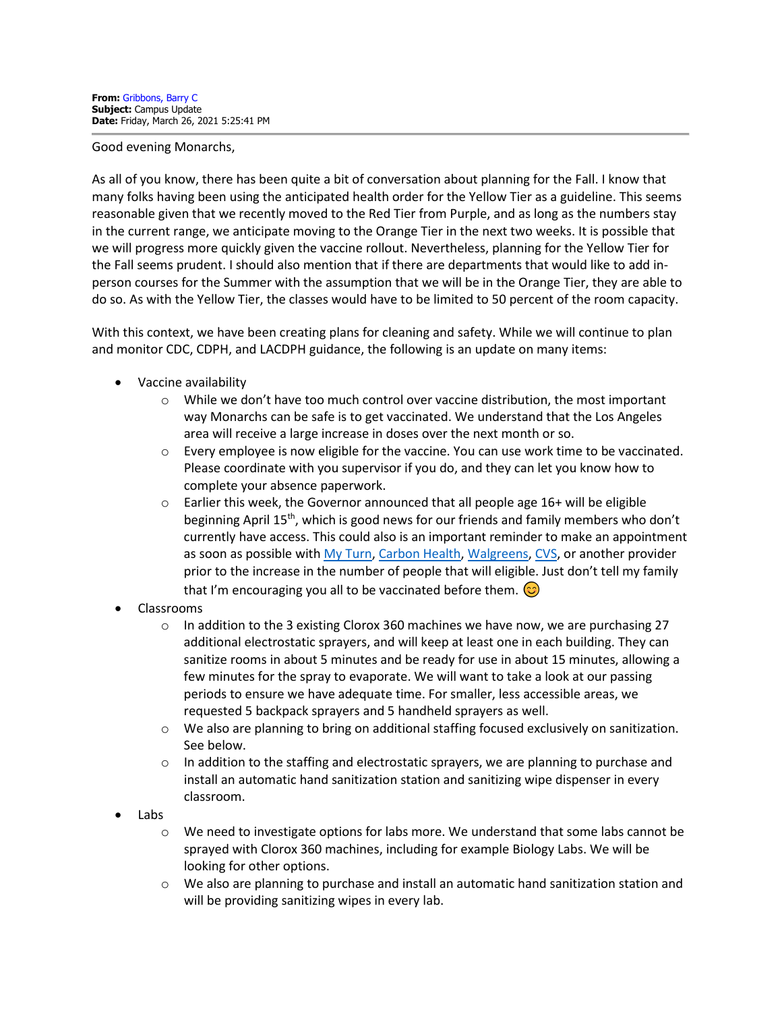## Good evening Monarchs,

As all of you know, there has been quite a bit of conversation about planning for the Fall. I know that many folks having been using the anticipated health order for the Yellow Tier as a guideline. This seems reasonable given that we recently moved to the Red Tier from Purple, and as long as the numbers stay in the current range, we anticipate moving to the Orange Tier in the next two weeks. It is possible that we will progress more quickly given the vaccine rollout. Nevertheless, planning for the Yellow Tier for the Fall seems prudent. I should also mention that if there are departments that would like to add inperson courses for the Summer with the assumption that we will be in the Orange Tier, they are able to do so. As with the Yellow Tier, the classes would have to be limited to 50 percent of the room capacity.

With this context, we have been creating plans for cleaning and safety. While we will continue to plan and monitor CDC, CDPH, and LACDPH guidance, the following is an update on many items:

- Vaccine availability
	- $\circ$  While we don't have too much control over vaccine distribution, the most important way Monarchs can be safe is to get vaccinated. We understand that the Los Angeles area will receive a large increase in doses over the next month or so.
	- $\circ$  Every employee is now eligible for the vaccine. You can use work time to be vaccinated. Please coordinate with you supervisor if you do, and they can let you know how to complete your absence paperwork.
	- $\circ$  Earlier this week, the Governor announced that all people age 16+ will be eligible beginning April 15<sup>th</sup>, which is good news for our friends and family members who don't currently have access. This could also is an important reminder to make an appointment as soon as possible wit[h My Turn,](https://myturn.ca.gov/) [Carbon Health,](https://carbonhealth.com/covid-19-vaccines/los-angeles) [Walgreens,](https://www.walgreens.com/findcare/vaccination/covid-19) [CVS,](https://www.cvs.com/vaccine/intake/store/covid-screener/covid-qns) or another provider prior to the increase in the number of people that will eligible. Just don't tell my family that I'm encouraging you all to be vaccinated before them.  $\circledcirc$
- Classrooms
	- $\circ$  In addition to the 3 existing Clorox 360 machines we have now, we are purchasing 27 additional electrostatic sprayers, and will keep at least one in each building. They can sanitize rooms in about 5 minutes and be ready for use in about 15 minutes, allowing a few minutes for the spray to evaporate. We will want to take a look at our passing periods to ensure we have adequate time. For smaller, less accessible areas, we requested 5 backpack sprayers and 5 handheld sprayers as well.
	- o We also are planning to bring on additional staffing focused exclusively on sanitization. See below.
	- $\circ$  In addition to the staffing and electrostatic sprayers, we are planning to purchase and install an automatic hand sanitization station and sanitizing wipe dispenser in every classroom.
- Labs
	- $\circ$  We need to investigate options for labs more. We understand that some labs cannot be sprayed with Clorox 360 machines, including for example Biology Labs. We will be looking for other options.
	- o We also are planning to purchase and install an automatic hand sanitization station and will be providing sanitizing wipes in every lab.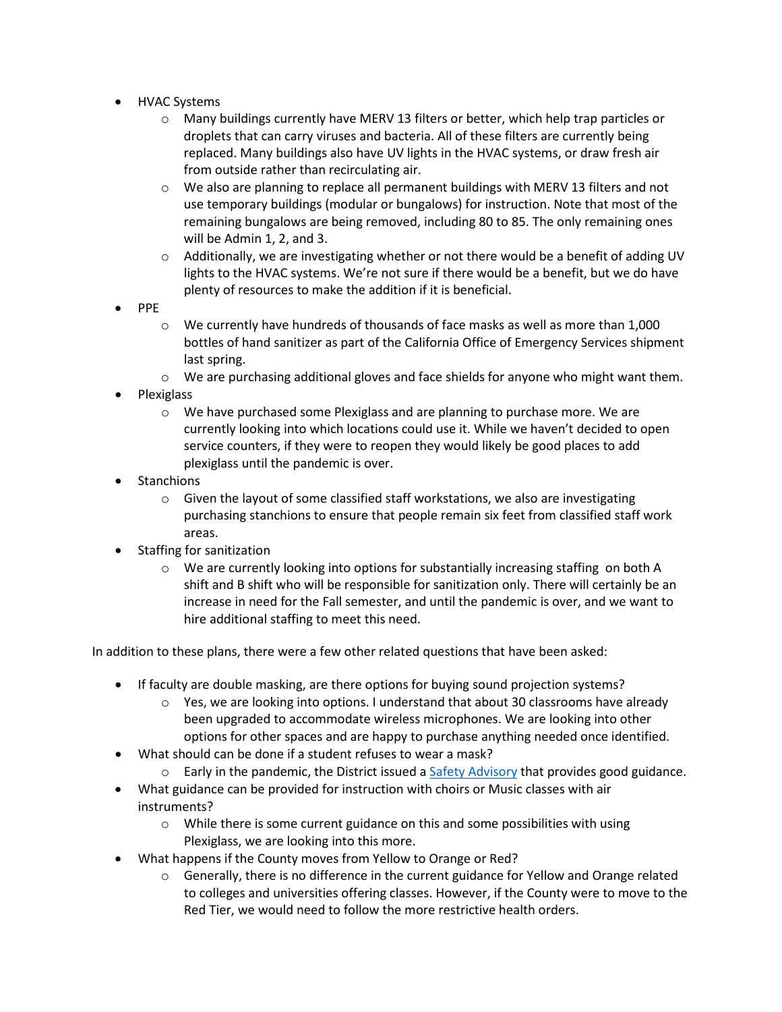- HVAC Systems
	- o Many buildings currently have MERV 13 filters or better, which help trap particles or droplets that can carry viruses and bacteria. All of these filters are currently being replaced. Many buildings also have UV lights in the HVAC systems, or draw fresh air from outside rather than recirculating air.
	- o We also are planning to replace all permanent buildings with MERV 13 filters and not use temporary buildings (modular or bungalows) for instruction. Note that most of the remaining bungalows are being removed, including 80 to 85. The only remaining ones will be Admin 1, 2, and 3.
	- $\circ$  Additionally, we are investigating whether or not there would be a benefit of adding UV lights to the HVAC systems. We're not sure if there would be a benefit, but we do have plenty of resources to make the addition if it is beneficial.
- PPE
	- $\circ$  We currently have hundreds of thousands of face masks as well as more than 1,000 bottles of hand sanitizer as part of the California Office of Emergency Services shipment last spring.
	- $\circ$  We are purchasing additional gloves and face shields for anyone who might want them.
- Plexiglass
	- $\circ$  We have purchased some Plexiglass and are planning to purchase more. We are currently looking into which locations could use it. While we haven't decided to open service counters, if they were to reopen they would likely be good places to add plexiglass until the pandemic is over.
- **Stanchions** 
	- o Given the layout of some classified staff workstations, we also are investigating purchasing stanchions to ensure that people remain six feet from classified staff work areas.
- Staffing for sanitization
	- o We are currently looking into options for substantially increasing staffing on both A shift and B shift who will be responsible for sanitization only. There will certainly be an increase in need for the Fall semester, and until the pandemic is over, and we want to hire additional staffing to meet this need.

In addition to these plans, there were a few other related questions that have been asked:

- If faculty are double masking, are there options for buying sound projection systems?
	- $\circ$  Yes, we are looking into options. I understand that about 30 classrooms have already been upgraded to accommodate wireless microphones. We are looking into other options for other spaces and are happy to purchase anything needed once identified.
- What should can be done if a student refuses to wear a mask?
	- $\circ$  Early in the pandemic, the District issued [a Safety Advisory](http://laccd.edu/About/News/Documents/Safety-Advisories/Safety%20Advisory%20-%20Faculty%20Guidance%20Regarding%20Facial%20Coverings%20and%20PPE%20for%20Completion%20of%20Spring%202020%20and%20Fall%202020%20Classes.pdf) that provides good guidance.
- What guidance can be provided for instruction with choirs or Music classes with air instruments?
	- $\circ$  While there is some current guidance on this and some possibilities with using Plexiglass, we are looking into this more.
- What happens if the County moves from Yellow to Orange or Red?
	- $\circ$  Generally, there is no difference in the current guidance for Yellow and Orange related to colleges and universities offering classes. However, if the County were to move to the Red Tier, we would need to follow the more restrictive health orders.